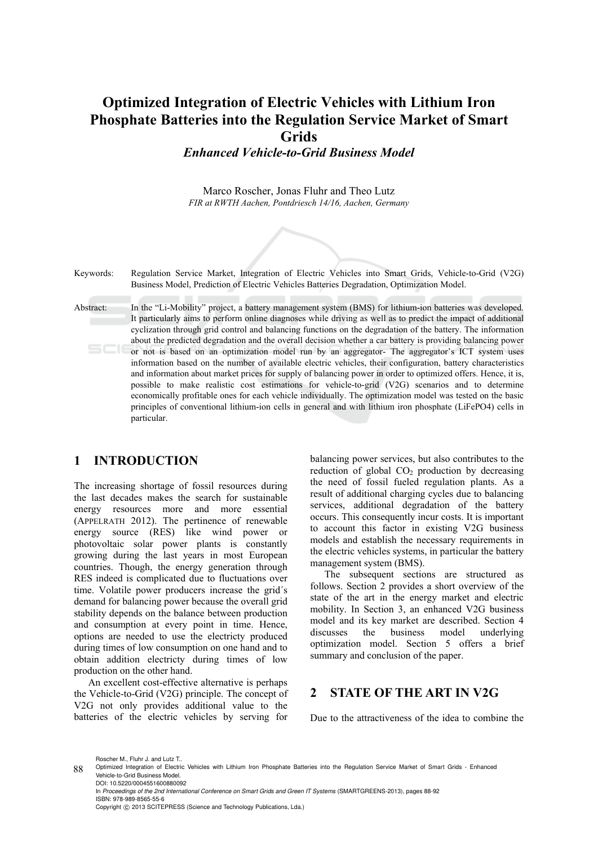# **Optimized Integration of Electric Vehicles with Lithium Iron Phosphate Batteries into the Regulation Service Market of Smart Grids**

*Enhanced Vehicle-to-Grid Business Model* 

Marco Roscher, Jonas Fluhr and Theo Lutz *FIR at RWTH Aachen, Pontdriesch 14/16, Aachen, Germany* 



# **1 INTRODUCTION**

The increasing shortage of fossil resources during the last decades makes the search for sustainable energy resources more and more essential (APPELRATH 2012). The pertinence of renewable energy source (RES) like wind power or photovoltaic solar power plants is constantly growing during the last years in most European countries. Though, the energy generation through RES indeed is complicated due to fluctuations over time. Volatile power producers increase the grid´s demand for balancing power because the overall grid stability depends on the balance between production and consumption at every point in time. Hence, options are needed to use the electricty produced during times of low consumption on one hand and to obtain addition electricty during times of low production on the other hand.

An excellent cost-effective alternative is perhaps the Vehicle-to-Grid (V2G) principle. The concept of V2G not only provides additional value to the batteries of the electric vehicles by serving for

balancing power services, but also contributes to the reduction of global  $CO<sub>2</sub>$  production by decreasing the need of fossil fueled regulation plants. As a result of additional charging cycles due to balancing services, additional degradation of the battery occurs. This consequently incur costs. It is important to account this factor in existing V2G business models and establish the necessary requirements in the electric vehicles systems, in particular the battery management system (BMS).

The subsequent sections are structured as follows. Section 2 provides a short overview of the state of the art in the energy market and electric mobility. In Section 3, an enhanced V2G business model and its key market are described. Section 4 discusses the business model underlying optimization model. Section 5 offers a brief summary and conclusion of the paper.

# **2 STATE OF THE ART IN V2G**

Due to the attractiveness of the idea to combine the

Roscher M., Fluhr J. and Lutz T..

In *Proceedings of the 2nd International Conference on Smart Grids and Green IT Systems* (SMARTGREENS-2013), pages 88-92 ISBN: 978-989-8565-55-6 Copyright © 2013 SCITEPRESS (Science and Technology Publications, Lda.)

<sup>88</sup> Optimized Integration of Electric Vehicles with Lithium Iron Phosphate Batteries into the Regulation Service Market of Smart Grids - Enhanced Vehicle-to-Grid Business Model. DOI: 10.5220/0004551600880092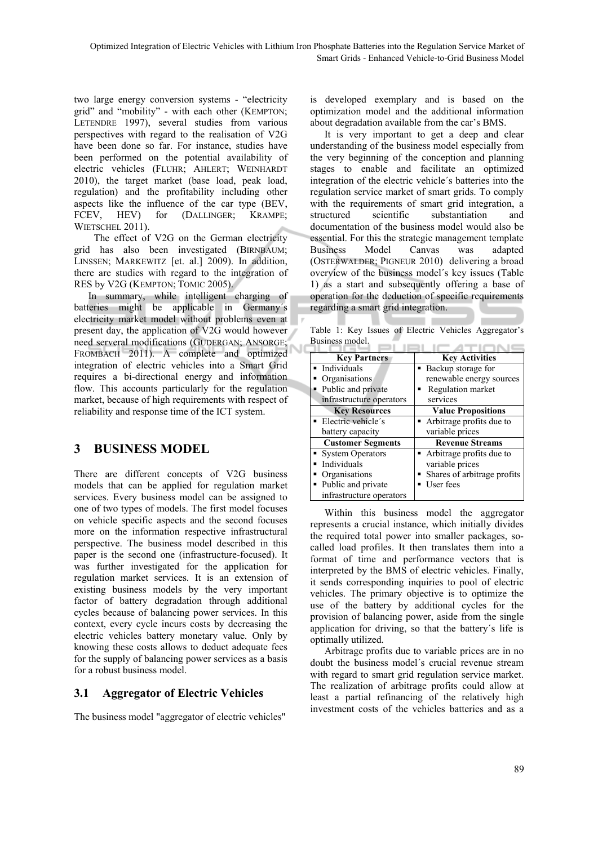two large energy conversion systems - "electricity grid" and "mobility" - with each other (KEMPTON; LETENDRE 1997), several studies from various perspectives with regard to the realisation of V2G have been done so far. For instance, studies have been performed on the potential availability of electric vehicles (FLUHR; AHLERT; WEINHARDT 2010), the target market (base load, peak load, regulation) and the profitability including other aspects like the influence of the car type (BEV, FCEV, HEV) for (DALLINGER; KRAMPE; WIETSCHEL 2011).

 The effect of V2G on the German electricity grid has also been investigated (BIRNBAUM; LINSSEN; MARKEWITZ [et. al.] 2009). In addition, there are studies with regard to the integration of RES by V2G (KEMPTON; TOMIC 2005).

In summary, while intelligent charging of batteries might be applicable in Germany´s electricity market model without problems even at present day, the application of V2G would however need serveral modifications (GUDERGAN; ANSORGE; FROMBACH 2011). A complete and optimized integration of electric vehicles into a Smart Grid requires a bi-directional energy and information flow. This accounts particularly for the regulation market, because of high requirements with respect of reliability and response time of the ICT system.

# **3 BUSINESS MODEL**

There are different concepts of V2G business models that can be applied for regulation market services. Every business model can be assigned to one of two types of models. The first model focuses on vehicle specific aspects and the second focuses more on the information respective infrastructural perspective. The business model described in this paper is the second one (infrastructure-focused). It was further investigated for the application for regulation market services. It is an extension of existing business models by the very important factor of battery degradation through additional cycles because of balancing power services. In this context, every cycle incurs costs by decreasing the electric vehicles battery monetary value. Only by knowing these costs allows to deduct adequate fees for the supply of balancing power services as a basis for a robust business model.

# **3.1 Aggregator of Electric Vehicles**

The business model "aggregator of electric vehicles"

is developed exemplary and is based on the optimization model and the additional information about degradation available from the car's BMS.

It is very important to get a deep and clear understanding of the business model especially from the very beginning of the conception and planning stages to enable and facilitate an optimized integration of the electric vehicle´s batteries into the regulation service market of smart grids. To comply with the requirements of smart grid integration, a structured scientific substantiation and documentation of the business model would also be essential. For this the strategic management template Business Model Canvas was adapted (OSTERWALDER; PIGNEUR 2010) delivering a broad overview of the business model´s key issues (Table 1) as a start and subsequently offering a base of operation for the deduction of specific requirements regarding a smart grid integration.

Table 1: Key Issues of Electric Vehicles Aggregator's Business model.

| Daville di model.        |                             |  |
|--------------------------|-----------------------------|--|
| <b>Key Partners</b>      | <b>Key Activities</b>       |  |
| · Individuals            | • Backup storage for        |  |
| Organisations            | renewable energy sources    |  |
| Public and private       | Regulation market           |  |
| infrastructure operators | services                    |  |
| <b>Key Resources</b>     | <b>Value Propositions</b>   |  |
| • Electric vehicle's     | • Arbitrage profits due to  |  |
| battery capacity         | variable prices             |  |
| <b>Customer Segments</b> | <b>Revenue Streams</b>      |  |
| • System Operators       | • Arbitrage profits due to  |  |
| Individuals              | variable prices             |  |
| Organisations            | Shares of arbitrage profits |  |
| Public and private       | User fees                   |  |
| infrastructure operators |                             |  |

Within this business model the aggregator represents a crucial instance, which initially divides the required total power into smaller packages, socalled load profiles. It then translates them into a format of time and performance vectors that is interpreted by the BMS of electric vehicles. Finally, it sends corresponding inquiries to pool of electric vehicles. The primary objective is to optimize the use of the battery by additional cycles for the provision of balancing power, aside from the single application for driving, so that the battery´s life is optimally utilized.

Arbitrage profits due to variable prices are in no doubt the business model´s crucial revenue stream with regard to smart grid regulation service market. The realization of arbitrage profits could allow at least a partial refinancing of the relatively high investment costs of the vehicles batteries and as a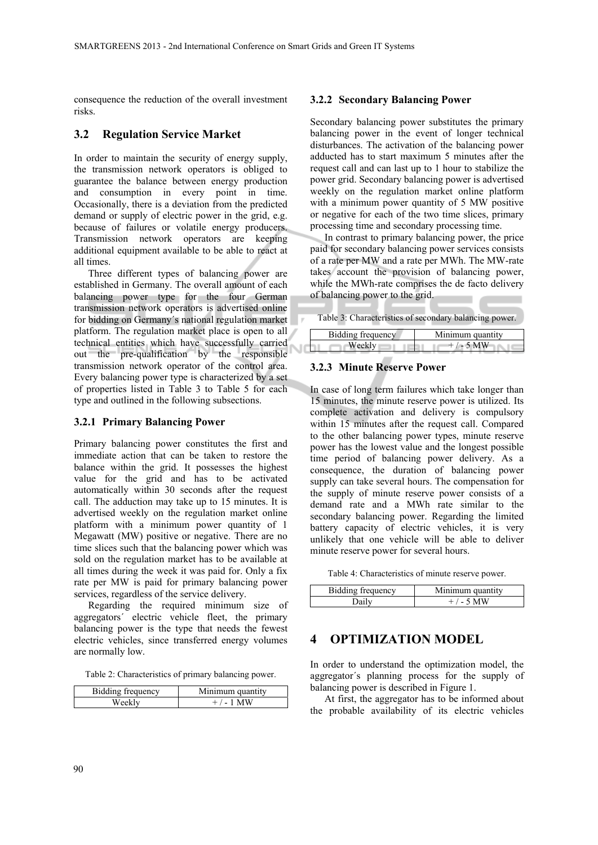consequence the reduction of the overall investment risks.

### **3.2 Regulation Service Market**

In order to maintain the security of energy supply, the transmission network operators is obliged to guarantee the balance between energy production and consumption in every point in time. Occasionally, there is a deviation from the predicted demand or supply of electric power in the grid, e.g. because of failures or volatile energy producers. Transmission network operators are keeping additional equipment available to be able to react at all times.

Three different types of balancing power are established in Germany. The overall amount of each balancing power type for the four German transmission network operators is advertised online for bidding on Germany´s national regulation market platform. The regulation market place is open to all technical entities which have successfully carried out the pre-qualification by the responsible transmission network operator of the control area. Every balancing power type is characterized by a set of properties listed in Table 3 to Table 5 for each type and outlined in the following subsections.

### **3.2.1 Primary Balancing Power**

Primary balancing power constitutes the first and immediate action that can be taken to restore the balance within the grid. It possesses the highest value for the grid and has to be activated automatically within 30 seconds after the request call. The adduction may take up to 15 minutes. It is advertised weekly on the regulation market online platform with a minimum power quantity of 1 Megawatt (MW) positive or negative. There are no time slices such that the balancing power which was sold on the regulation market has to be available at all times during the week it was paid for. Only a fix rate per MW is paid for primary balancing power services, regardless of the service delivery.

Regarding the required minimum size of aggregators´ electric vehicle fleet, the primary balancing power is the type that needs the fewest electric vehicles, since transferred energy volumes are normally low.

Table 2: Characteristics of primary balancing power.

| Bidding frequency | Minimum quantity |
|-------------------|------------------|
| Weekly            | $+/-1$ MW        |

#### **3.2.2 Secondary Balancing Power**

Secondary balancing power substitutes the primary balancing power in the event of longer technical disturbances. The activation of the balancing power adducted has to start maximum 5 minutes after the request call and can last up to 1 hour to stabilize the power grid. Secondary balancing power is advertised weekly on the regulation market online platform with a minimum power quantity of 5 MW positive or negative for each of the two time slices, primary processing time and secondary processing time.

In contrast to primary balancing power, the price paid for secondary balancing power services consists of a rate per MW and a rate per MWh. The MW-rate takes account the provision of balancing power, while the MWh-rate comprises the de facto delivery of balancing power to the grid.

Table 3: Characteristics of secondary balancing power.

| Bidding frequency | Minimum quantity |
|-------------------|------------------|
|                   | $+$ / - 5 MW     |

### **3.2.3 Minute Reserve Power**

In case of long term failures which take longer than 15 minutes, the minute reserve power is utilized. Its complete activation and delivery is compulsory within 15 minutes after the request call. Compared to the other balancing power types, minute reserve power has the lowest value and the longest possible time period of balancing power delivery. As a consequence, the duration of balancing power supply can take several hours. The compensation for the supply of minute reserve power consists of a demand rate and a MWh rate similar to the secondary balancing power. Regarding the limited battery capacity of electric vehicles, it is very unlikely that one vehicle will be able to deliver minute reserve power for several hours.

Table 4: Characteristics of minute reserve power.

| Ridding frequency | Minimum quantity |
|-------------------|------------------|
|                   | $+/-5$ MW        |

### **4 OPTIMIZATION MODEL**

In order to understand the optimization model, the aggregator´s planning process for the supply of balancing power is described in Figure 1.

At first, the aggregator has to be informed about the probable availability of its electric vehicles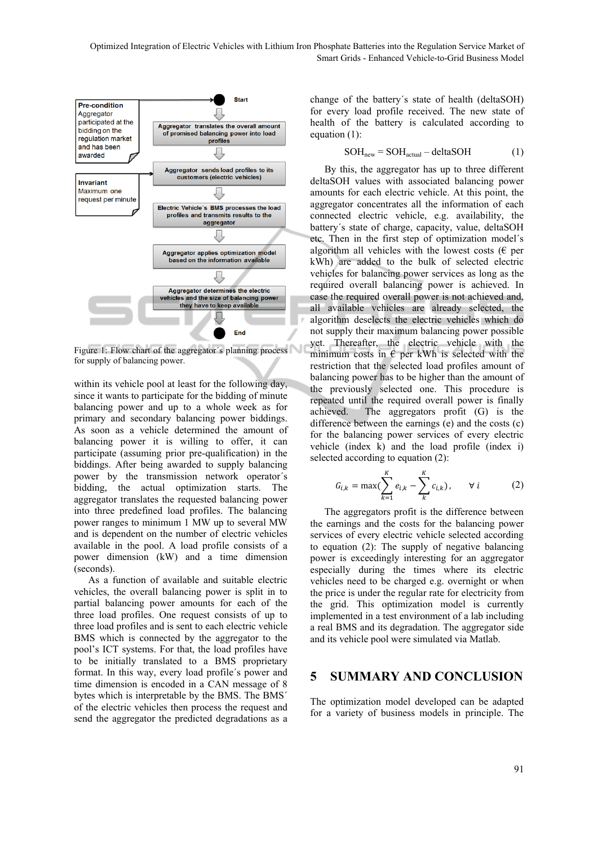

Figure 1: Flow chart of the aggregator's planning process for supply of balancing power.

within its vehicle pool at least for the following day, since it wants to participate for the bidding of minute balancing power and up to a whole week as for primary and secondary balancing power biddings. As soon as a vehicle determined the amount of balancing power it is willing to offer, it can participate (assuming prior pre-qualification) in the biddings. After being awarded to supply balancing power by the transmission network operator´s bidding, the actual optimization starts. The aggregator translates the requested balancing power into three predefined load profiles. The balancing power ranges to minimum 1 MW up to several MW and is dependent on the number of electric vehicles available in the pool. A load profile consists of a power dimension (kW) and a time dimension (seconds).

As a function of available and suitable electric vehicles, the overall balancing power is split in to partial balancing power amounts for each of the three load profiles. One request consists of up to three load profiles and is sent to each electric vehicle BMS which is connected by the aggregator to the pool's ICT systems. For that, the load profiles have to be initially translated to a BMS proprietary format. In this way, every load profile´s power and time dimension is encoded in a CAN message of 8 bytes which is interpretable by the BMS. The BMS´ of the electric vehicles then process the request and send the aggregator the predicted degradations as a

change of the battery´s state of health (deltaSOH) for every load profile received. The new state of health of the battery is calculated according to equation (1):

$$
SOHnew = SOHactual - deltaSOH
$$
 (1)

By this, the aggregator has up to three different deltaSOH values with associated balancing power amounts for each electric vehicle. At this point, the aggregator concentrates all the information of each connected electric vehicle, e.g. availability, the battery´s state of charge, capacity, value, deltaSOH etc. Then in the first step of optimization model´s algorithm all vehicles with the lowest costs ( $\epsilon$  per kWh) are added to the bulk of selected electric vehicles for balancing power services as long as the required overall balancing power is achieved. In case the required overall power is not achieved and, all available vehicles are already selected, the algorithm deselects the electric vehicles which do not supply their maximum balancing power possible yet. Thereafter, the electric vehicle with the minimum costs in  $\epsilon$  per kWh is selected with the restriction that the selected load profiles amount of balancing power has to be higher than the amount of the previously selected one. This procedure is repeated until the required overall power is finally achieved. The aggregators profit (G) is the difference between the earnings (e) and the costs (c) for the balancing power services of every electric vehicle (index k) and the load profile (index i) selected according to equation (2):

$$
G_{i,k} = \max(\sum_{k=1}^{K} e_{i,k} - \sum_{k}^{K} c_{i,k}), \qquad \forall i \qquad (2)
$$

The aggregators profit is the difference between the earnings and the costs for the balancing power services of every electric vehicle selected according to equation (2): The supply of negative balancing power is exceedingly interesting for an aggregator especially during the times where its electric vehicles need to be charged e.g. overnight or when the price is under the regular rate for electricity from the grid. This optimization model is currently implemented in a test environment of a lab including a real BMS and its degradation. The aggregator side and its vehicle pool were simulated via Matlab.

### **5 SUMMARY AND CONCLUSION**

The optimization model developed can be adapted for a variety of business models in principle. The